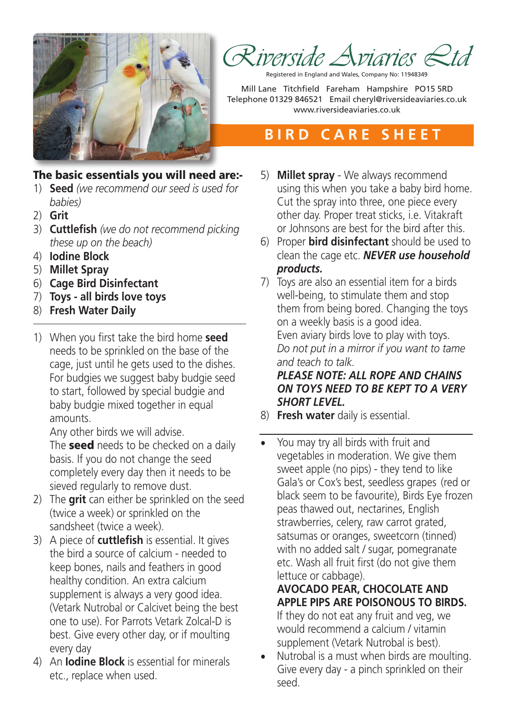

Registered in England and Wales, Company No: 11948349

Mill Lane Titchfield Fareham Hampshire PO15 5RD Telephone 01329 846521 Email cheryl@riversideaviaries.co.uk www.riversideaviaries.co.uk

# **B I R D C A R E S H E E T**

## **The basic essentials you will need are:-**

- 1) **Seed** *(we recommend our seed is used for babies)*
- 2) **Grit**
- 3) **Cuttlefish** *(we do not recommend picking these up on the beach)*
- 4) **Iodine Block**
- 5) **Millet Spray**
- 6) **Cage Bird Disinfectant**
- 7) **Toys - all birds love toys**
- 8) **Fresh Water Daily**
- 1) When you first take the bird home **seed** needs to be sprinkled on the base of the cage, just until he gets used to the dishes. For budgies we suggest baby budgie seed to start, followed by special budgie and baby budgie mixed together in equal amounts.

Any other birds we will advise.

The **seed** needs to be checked on a daily basis. If you do not change the seed completely every day then it needs to be sieved regularly to remove dust.

- 2) The **grit** can either be sprinkled on the seed (twice a week) or sprinkled on the sandsheet (twice a week).
- 3) A piece of **cuttlefish** is essential. It gives the bird a source of calcium - needed to keep bones, nails and feathers in good healthy condition. An extra calcium supplement is always a very good idea. (Vetark Nutrobal or Calcivet being the best one to use). For Parrots Vetark Zolcal-D is best. Give every other day, or if moulting every day
- 4) An **Iodine Block** is essential for minerals etc., replace when used.
- 5) **Millet spray** We always recommend using this when you take a baby bird home. Cut the spray into three, one piece every other day. Proper treat sticks, i.e. Vitakraft or Johnsons are best for the bird after this.
- 6) Proper **bird disinfectant** should be used to clean the cage etc. *NEVER use household products.*
- 7) Toys are also an essential item for a birds well-being, to stimulate them and stop them from being bored. Changing the toys on a weekly basis is a good idea. Even aviary birds love to play with toys. *Do not put in a mirror if you want to tame and teach to talk. PLEASE NOTE: ALL ROPE AND CHAINS ON TOYS NEED TO BE KEPT TO A VERY*

*SHORT LEVEL.*

8) **Fresh water** daily is essential.

• You may try all birds with fruit and vegetables in moderation. We give them sweet apple (no pips) - they tend to like Gala's or Cox's best, seedless grapes (red or black seem to be favourite), Birds Eye frozen peas thawed out, nectarines, English strawberries, celery, raw carrot grated, satsumas or oranges, sweetcorn (tinned) with no added salt / sugar, pomegranate etc. Wash all fruit first (do not give them lettuce or cabbage).

### **AVOCADO PEAR, CHOCOLATE AND APPLE PIPS ARE POISONOUS TO BIRDS.**

If they do not eat any fruit and veg, we would recommend a calcium / vitamin supplement (Vetark Nutrobal is best).

• Nutrobal is a must when birds are moulting. Give every day - a pinch sprinkled on their seed.